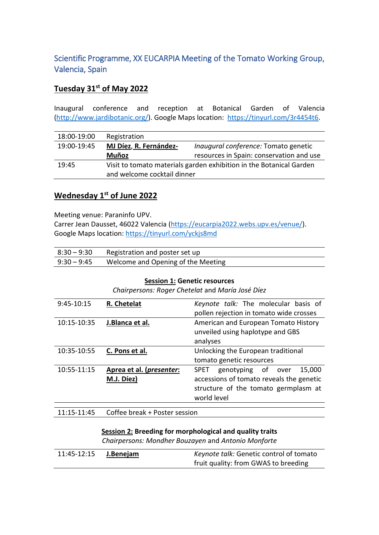# Scientific Programme, XX EUCARPIA Meeting of the Tomato Working Group, Valencia, Spain

## **Tuesday 31st of May 2022**

Inaugural conference and reception at Botanical Garden of Valencia [\(http://www.jardibotanic.org/\)](http://www.jardibotanic.org/). Google Maps location: [https://tinyurl.com/3r4454t6.](https://tinyurl.com/3r4454t6)

| 18:00-19:00 | Registration                                                        |                                          |
|-------------|---------------------------------------------------------------------|------------------------------------------|
| 19:00-19:45 | MJ Díez, R. Fernández-                                              | Inaugural conference: Tomato genetic     |
|             | <b>Muñoz</b>                                                        | resources in Spain: conservation and use |
| 19:45       | Visit to tomato materials garden exhibition in the Botanical Garden |                                          |
|             | and welcome cocktail dinner                                         |                                          |

### **Wednesday 1st of June 2022**

Meeting venue: Paraninfo UPV.

Carrer Jean Dausset, 46022 Valencia [\(https://eucarpia2022.webs.upv.es/venue/\)](https://eucarpia2022.webs.upv.es/venue/). Google Maps location:<https://tinyurl.com/yckjs8md>

| 8:30 – 9:30   | Registration and poster set up     |
|---------------|------------------------------------|
| $9:30 - 9:45$ | Welcome and Opening of the Meeting |

#### **Session 1: Genetic resources**

*Chairpersons: Roger Chetelat* and *María José Díez*

| 9:45-10:15  | R. Chetelat                       | Keynote talk: The molecular basis of        |
|-------------|-----------------------------------|---------------------------------------------|
|             |                                   | pollen rejection in tomato wide crosses     |
| 10:15-10:35 | J.Blanca et al.                   | American and European Tomato History        |
|             |                                   | unveiled using haplotype and GBS            |
|             |                                   | analyses                                    |
| 10:35-10:55 | C. Pons et al.                    | Unlocking the European traditional          |
|             |                                   | tomato genetic resources                    |
| 10:55-11:15 | Aprea et al. ( <i>presenter</i> : | genotyping of over<br>15,000<br><b>SPET</b> |
|             | M.J. Díez)                        | accessions of tomato reveals the genetic    |
|             |                                   | structure of the tomato germplasm at        |
|             |                                   | world level                                 |
|             |                                   |                                             |

11:15-11:45 Coffee break + Poster session

#### **Session 2: Breeding for morphological and quality traits**

*Chairpersons: Mondher Bouzayen* and *Antonio Monforte*

| 11:45-12:15 | J.Benejam | Keynote talk: Genetic control of tomato |
|-------------|-----------|-----------------------------------------|
|             |           | fruit quality: from GWAS to breeding    |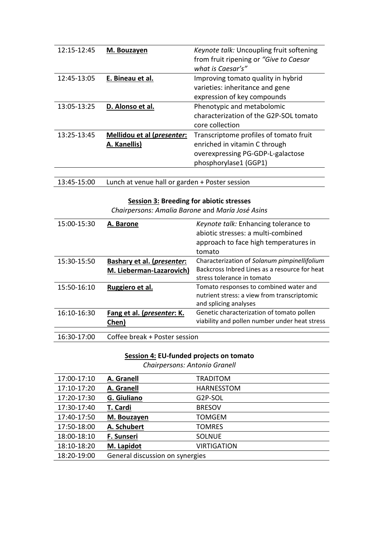| $12:15 - 12:45$ | M. Bouzayen                         | Keynote talk: Uncoupling fruit softening |
|-----------------|-------------------------------------|------------------------------------------|
|                 |                                     | from fruit ripening or "Give to Caesar"  |
|                 |                                     | what is Caesar's"                        |
| 12:45-13:05     | E. Bineau et al.                    | Improving tomato quality in hybrid       |
|                 |                                     | varieties: inheritance and gene          |
|                 |                                     | expression of key compounds              |
| 13:05-13:25     | D. Alonso et al.                    | Phenotypic and metabolomic               |
|                 |                                     | characterization of the G2P-SOL tomato   |
|                 |                                     | core collection                          |
| 13:25-13:45     | Mellidou et al ( <i>presenter</i> : | Transcriptome profiles of tomato fruit   |
|                 | A. Kanellis)                        | enriched in vitamin C through            |
|                 |                                     | overexpressing PG-GDP-L-galactose        |
|                 |                                     | phosphorylase1 (GGP1)                    |
|                 |                                     |                                          |

13:45-15:00 Lunch at venue hall or garden + Poster session

### **Session 3: Breeding for abiotic stresses**

*Chairpersons: Amalia Barone* and *María José Asins*

| 15:00-15:30 | A. Barone                           | Keynote talk: Enhancing tolerance to          |
|-------------|-------------------------------------|-----------------------------------------------|
|             |                                     | abiotic stresses: a multi-combined            |
|             |                                     | approach to face high temperatures in         |
|             |                                     | tomato                                        |
| 15:30-15:50 | Bashary et al. ( <i>presenter</i> : | Characterization of Solanum pimpinellifolium  |
|             | M. Lieberman-Lazarovich)            | Backcross Inbred Lines as a resource for heat |
|             |                                     | stress tolerance in tomato                    |
| 15:50-16:10 | Ruggiero et al.                     | Tomato responses to combined water and        |
|             |                                     | nutrient stress: a view from transcriptomic   |
|             |                                     | and splicing analyses                         |
| 16:10-16:30 | Fang et al. ( <i>presenter</i> : K. | Genetic characterization of tomato pollen     |
|             | Chen)                               | viability and pollen number under heat stress |
|             |                                     |                                               |
| 16:30-17:00 | Coffee break + Poster session       |                                               |

### **Session 4: EU-funded projects on tomato**

*Chairpersons: Antonio Granell*

| 17:00-17:10 | A. Granell                      | <b>TRADITOM</b>    |
|-------------|---------------------------------|--------------------|
| 17:10-17:20 | A. Granell                      | <b>HARNESSTOM</b>  |
| 17:20-17:30 | G. Giuliano                     | G2P-SOL            |
| 17:30-17:40 | T. Cardi                        | <b>BRESOV</b>      |
| 17:40-17:50 | M. Bouzayen                     | <b>TOMGEM</b>      |
| 17:50-18:00 | A. Schubert                     | <b>TOMRES</b>      |
| 18:00-18:10 | F. Sunseri                      | <b>SOLNUE</b>      |
| 18:10-18:20 | M. Lapidot                      | <b>VIRTIGATION</b> |
| 18:20-19:00 | General discussion on synergies |                    |
|             |                                 |                    |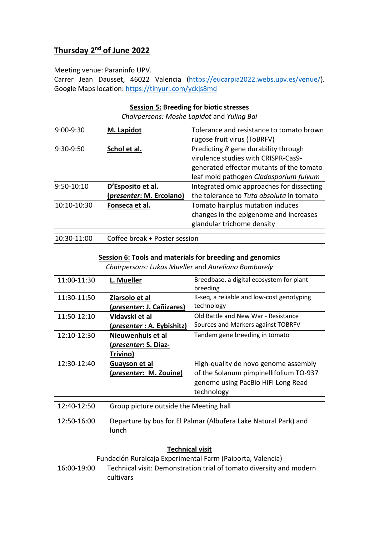# **Thursday 2nd of June 2022**

#### Meeting venue: Paraninfo UPV.

Carrer Jean Dausset, 46022 Valencia [\(https://eucarpia2022.webs.upv.es/venue/\)](https://eucarpia2022.webs.upv.es/venue/). Google Maps location:<https://tinyurl.com/yckjs8md>

#### **Session 5: Breeding for biotic stresses**

*Chairpersons: Moshe Lapidot* and *Yuling Bai*

| $9:00-9:30$  | M. Lapidot               | Tolerance and resistance to tomato brown  |
|--------------|--------------------------|-------------------------------------------|
|              |                          | rugose fruit virus (ToBRFV)               |
| 9:30-9:50    | Schol et al.             | Predicting R gene durability through      |
|              |                          | virulence studies with CRISPR-Cas9-       |
|              |                          | generated effector mutants of the tomato  |
|              |                          | leaf mold pathogen Cladosporium fulvum    |
| $9:50-10:10$ | D'Esposito et al.        | Integrated omic approaches for dissecting |
|              | (presenter: M. Ercolano) | the tolerance to Tuta absoluta in tomato  |
| 10:10-10:30  | Fonseca et al.           | Tomato hairplus mutation induces          |
|              |                          | changes in the epigenome and increases    |
|              |                          | glandular trichome density                |
|              |                          |                                           |

10:30-11:00 Coffee break + Poster session

## **Session 6: Tools and materials for breeding and genomics**

*Chairpersons: Lukas Mueller* and *Aureliano Bombarely*

| 11:00-11:30 | L. Mueller                                                      | Breedbase, a digital ecosystem for plant<br>breeding |
|-------------|-----------------------------------------------------------------|------------------------------------------------------|
| 11:30-11:50 | Ziarsolo et al                                                  | K-seq, a reliable and low-cost genotyping            |
|             | ( <i>presenter</i> : J. Cañizares)                              | technology                                           |
| 11:50-12:10 | Vidavski et al                                                  | Old Battle and New War - Resistance                  |
|             | ( <i>presenter</i> : A. Eybishitz)                              | Sources and Markers against TOBRFV                   |
| 12:10-12:30 | Nieuwenhuis et al                                               | Tandem gene breeding in tomato                       |
|             | (presenter: S. Diaz-                                            |                                                      |
|             | Trivino)                                                        |                                                      |
| 12:30-12:40 | Guayson et al                                                   | High-quality de novo genome assembly                 |
|             | ( <i>presenter</i> : M. Zouine)                                 | of the Solanum pimpinellifolium TO-937               |
|             |                                                                 | genome using PacBio HiFI Long Read                   |
|             |                                                                 | technology                                           |
|             |                                                                 |                                                      |
| 12:40-12:50 | Group picture outside the Meeting hall                          |                                                      |
|             |                                                                 |                                                      |
| 12:50-16:00 | Departure by bus for El Palmar (Albufera Lake Natural Park) and |                                                      |
|             | lunch                                                           |                                                      |
|             |                                                                 |                                                      |

| <b>Technical visit</b>                                                                          |  |  |
|-------------------------------------------------------------------------------------------------|--|--|
| Fundación Ruralcaja Experimental Farm (Paiporta, Valencia)                                      |  |  |
| Technical visit: Demonstration trial of tomato diversity and modern<br>16:00-19:00<br>cultivars |  |  |